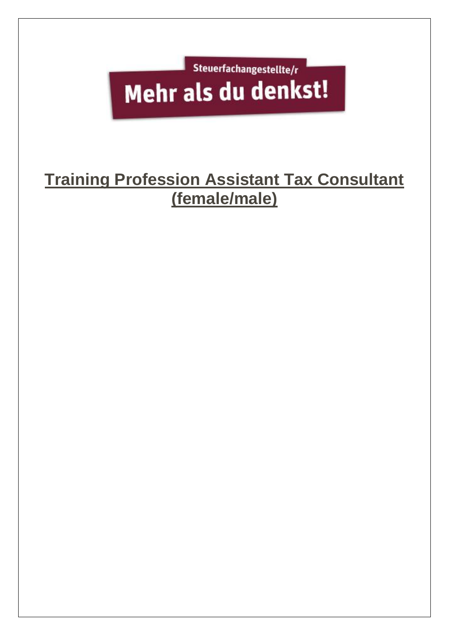

## **Training Profession Assistant Tax Consultant (female/male)**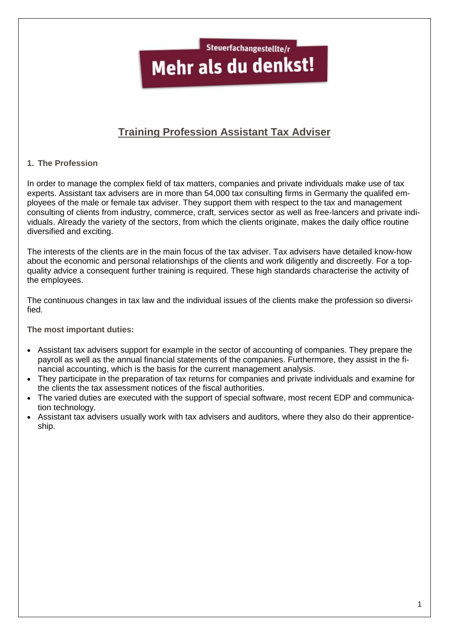Steuerfachangestellte/r

# Mehr als du denkst!

### **Training Profession Assistant Tax Adviser**

#### **1. The Profession**

In order to manage the complex field of tax matters, companies and private individuals make use of tax experts. Assistant tax advisers are in more than 54,000 tax consulting firms in Germany the qualifed employees of the male or female tax adviser. They support them with respect to the tax and management consulting of clients from industry, commerce, craft, services sector as well as free-lancers and private individuals. Already the variety of the sectors, from which the clients originate, makes the daily office routine diversified and exciting.

The interests of the clients are in the main focus of the tax adviser. Tax advisers have detailed know-how about the economic and personal relationships of the clients and work diligently and discreetly. For a topquality advice a consequent further training is required. These high standards characterise the activity of the employees.

The continuous changes in tax law and the individual issues of the clients make the profession so diversified.

**The most important duties:**

- Assistant tax advisers support for example in the sector of accounting of companies. They prepare the payroll as well as the annual financial statements of the companies. Furthermore, they assist in the financial accounting, which is the basis for the current management analysis.
- They participate in the preparation of tax returns for companies and private individuals and examine for the clients the tax assessment notices of the fiscal authorities.
- The varied duties are executed with the support of special software, most recent EDP and communication technology.
- Assistant tax advisers usually work with tax advisers and auditors, where they also do their apprenticeship.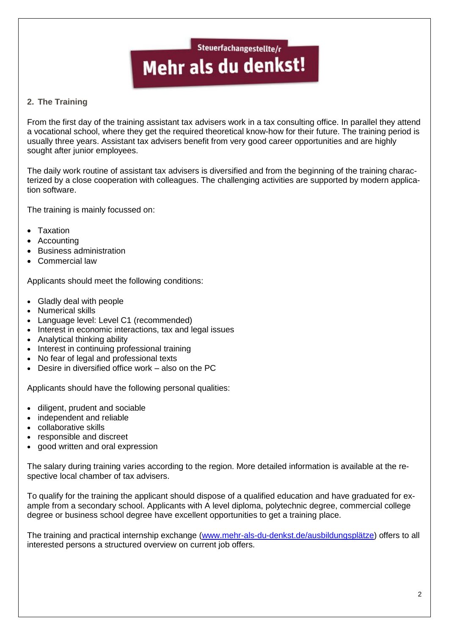#### **2. The Training**

From the first day of the training assistant tax advisers work in a tax consulting office. In parallel they attend a vocational school, where they get the required theoretical know-how for their future. The training period is usually three years. Assistant tax advisers benefit from very good career opportunities and are highly sought after junior employees.

The daily work routine of assistant tax advisers is diversified and from the beginning of the training characterized by a close cooperation with colleagues. The challenging activities are supported by modern application software.

The training is mainly focussed on:

- Taxation
- Accounting
- Business administration
- Commercial law

Applicants should meet the following conditions:

- Gladly deal with people
- Numerical skills
- Language level: Level C1 (recommended)
- Interest in economic interactions, tax and legal issues
- Analytical thinking ability
- Interest in continuing professional training
- No fear of legal and professional texts
- Desire in diversified office work also on the PC

Applicants should have the following personal qualities:

- diligent, prudent and sociable
- independent and reliable
- collaborative skills
- responsible and discreet
- good written and oral expression

The salary during training varies according to the region. More detailed information is available at the respective local chamber of tax advisers.

To qualify for the training the applicant should dispose of a qualified education and have graduated for example from a secondary school. Applicants with A level diploma, polytechnic degree, commercial college degree or business school degree have excellent opportunities to get a training place.

The training and practical internship exchange [\(www.mehr-als-du-denkst.de/ausbildungsplätze\)](http://www.mehr-als-du-denkst.de/ausbildungsplätze) offers to all interested persons a structured overview on current job offers.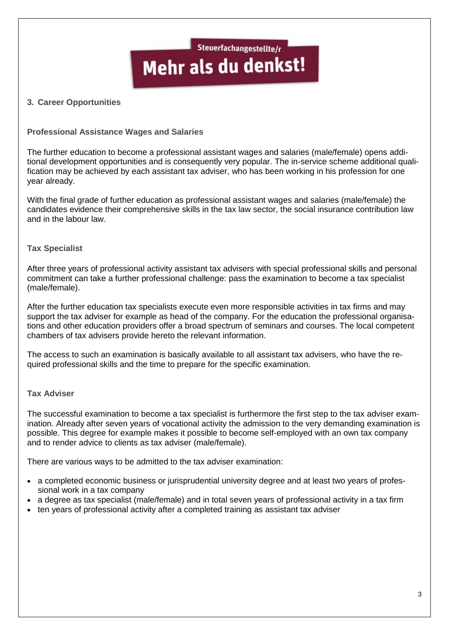#### **3. Career Opportunities**

#### **Professional Assistance Wages and Salaries**

The further education to become a professional assistant wages and salaries (male/female) opens additional development opportunities and is consequently very popular. The in-service scheme additional qualification may be achieved by each assistant tax adviser, who has been working in his profession for one year already.

With the final grade of further education as professional assistant wages and salaries (male/female) the candidates evidence their comprehensive skills in the tax law sector, the social insurance contribution law and in the labour law.

#### **Tax Specialist**

After three years of professional activity assistant tax advisers with special professional skills and personal commitment can take a further professional challenge: pass the examination to become a tax specialist (male/female).

After the further education tax specialists execute even more responsible activities in tax firms and may support the tax adviser for example as head of the company. For the education the professional organisations and other education providers offer a broad spectrum of seminars and courses. The local competent chambers of tax advisers provide hereto the relevant information.

The access to such an examination is basically available to all assistant tax advisers, who have the required professional skills and the time to prepare for the specific examination.

#### **Tax Adviser**

The successful examination to become a tax specialist is furthermore the first step to the tax adviser examination. Already after seven years of vocational activity the admission to the very demanding examination is possible. This degree for example makes it possible to become self-employed with an own tax company and to render advice to clients as tax adviser (male/female).

There are various ways to be admitted to the tax adviser examination:

- a completed economic business or jurisprudential university degree and at least two years of professional work in a tax company
- a degree as tax specialist (male/female) and in total seven years of professional activity in a tax firm
- ten years of professional activity after a completed training as assistant tax adviser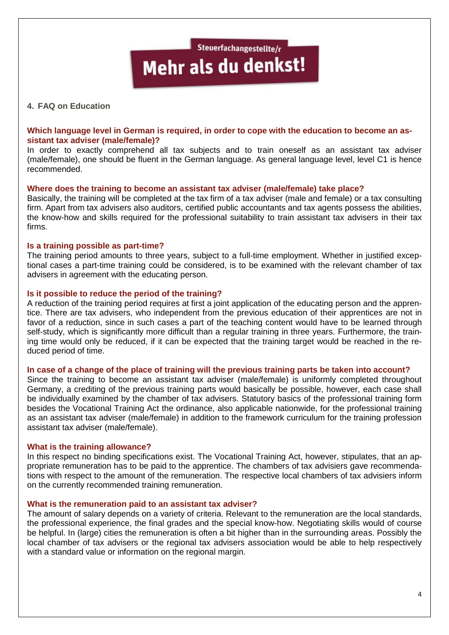#### **4. FAQ on Education**

#### **Which language level in German is required, in order to cope with the education to become an assistant tax adviser (male/female)?**

In order to exactly comprehend all tax subjects and to train oneself as an assistant tax adviser (male/female), one should be fluent in the German language. As general language level, level C1 is hence recommended.

#### **Where does the training to become an assistant tax adviser (male/female) take place?**

Basically, the training will be completed at the tax firm of a tax adviser (male and female) or a tax consulting firm. Apart from tax advisers also auditors, certified public accountants and tax agents possess the abilities, the know-how and skills required for the professional suitability to train assistant tax advisers in their tax firms.

#### **Is a training possible as part-time?**

The training period amounts to three years, subject to a full-time employment. Whether in justified exceptional cases a part-time training could be considered, is to be examined with the relevant chamber of tax advisers in agreement with the educating person.

#### **Is it possible to reduce the period of the training?**

A reduction of the training period requires at first a joint application of the educating person and the apprentice. There are tax advisers, who independent from the previous education of their apprentices are not in favor of a reduction, since in such cases a part of the teaching content would have to be learned through self-study, which is significantly more difficult than a regular training in three years. Furthermore, the training time would only be reduced, if it can be expected that the training target would be reached in the reduced period of time.

#### **In case of a change of the place of training will the previous training parts be taken into account?**

Since the training to become an assistant tax adviser (male/female) is uniformly completed throughout Germany, a crediting of the previous training parts would basically be possible, however, each case shall be individually examined by the chamber of tax advisers. Statutory basics of the professional training form besides the Vocational Training Act the ordinance, also applicable nationwide, for the professional training as an assistant tax adviser (male/female) in addition to the framework curriculum for the training profession assistant tax adviser (male/female).

#### **What is the training allowance?**

In this respect no binding specifications exist. The Vocational Training Act, however, stipulates, that an appropriate remuneration has to be paid to the apprentice. The chambers of tax advisiers gave recommendations with respect to the amount of the remuneration. The respective local chambers of tax advisiers inform on the currently recommended training remuneration.

#### **What is the remuneration paid to an assistant tax adviser?**

The amount of salary depends on a variety of criteria. Relevant to the remuneration are the local standards, the professional experience, the final grades and the special know-how. Negotiating skills would of course be helpful. In (large) cities the remuneration is often a bit higher than in the surrounding areas. Possibly the local chamber of tax advisers or the regional tax advisers association would be able to help respectively with a standard value or information on the regional margin.